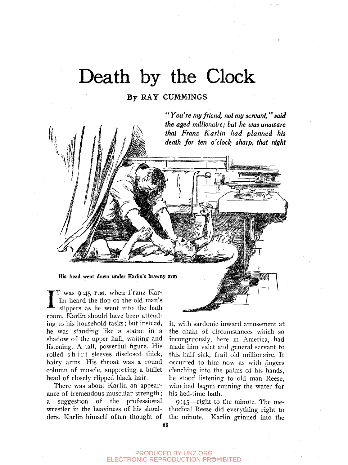# Death by the Clock

### **By RAY GUMMINGS**



I T was 9:45 P.M. when Franz Karlin heard the flop of the old man's slippers as he went into the bath room. Karlin should have been attending to his household tasks; but instead, he was standing like a statue in a shadow of the upper hall, waiting and listening. A tall, powerful figure. His rolled shirt sleeves disclosed thick, hairy arms. His throat was a round column of muscle, supporting a bullet head of closely clipped black hair.

There was about Karlin an appearance of tremendous muscular strength; a suggestion of the professional wrestler in the heaviness of his shoulders. Karlin himself often thought of

it, with sardonic inward amusement at the chain of circumstances which so incongruously, here in America, had made him valet and general servant to this half sick, frail old millionaire. It occurred to him now as with fingers clenching into the palms of his hands. he stood listening to old man Reese, who had begun running the water for his bed-time bath.

9:45—right to the minute. The methodical Reese did everything right to the minute. Karlin grinned into the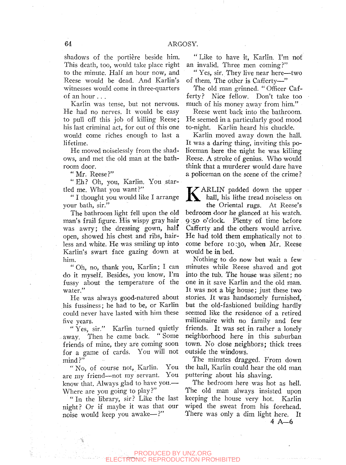shadows of the portière beside him. This death, too, would take place right to the minute. Half an hour now, and Reese would be dead. And Karlin's witnesses would come in three-quarters of an hour . . .

Karlin was tense, but not nervous. He had no nerves. It would be easy to pull off this job of killing Reese; his last criminal act, for out of this one would come riches enough to last a lifetime.

He moved noiselessly from the shadows, and met the old man at the bathroom door.

"Mr. Reese?"

"Eh ? Oh, you, Karlin. You startled me. What you want?"

" I thought you would like I arrange your bath, sir."

The bathroom light fell upon the old man's frail figure. His wispy gray hair was awry; the dressing gown, half open, showed his chest and rjbs, hairless and white. He was smiling up into Karlin's swart face gazing down at him.

" Oh, no, thank you, Karlin; I. can do it myself. Besides, you know, I'm fussy about the temperature of the water."

He was always good-natured about his fussiness; he had to be, or Karlin could never have lasted with him these five years,

" Yes, sir." Karlin turned quietly<br>zav. Then he came back. "Some away. Then he came back. friends of mine, they are coming soon for a game of cards. You will not mind?"

"No, of course not, Karlin. You are my friend—not my servant. You know that. Always glad to have you.— Where are you going to play?"

" In the library, sir? Like the last night? Or if maybe it was that our noise would keep you awake—?"

" Like to have it, Karlin. I'm not an invalid. Three men coming?"

" Yes, sir. They live near here—two of them. The other is Cafierty—"

The old man grinned. " Officer Cafferty? Nice fellow. Don't take too much of his money away from him."

Reese went back into the bathroom. He seemed in a particularly good mood to-night. Karlin heard his chuckle.

Karlin moved away down the hall. It was a daring thing, inviting this policeman here the night he was killing Reese. A stroke of genius. Who would think that a murderer would dare have a policeman on the scene of the crime ?

K ARLIN padded down the upper<br>hall, his lithe tread noiseless on<br>the Oriental rugs. At Rese's hall, his lithe tread noiseless on the Oriental rugs. At Reese's bedroom door he glanced at his watch. 9:50 o'clock. Plenty of time before Cafferty and the others would arrive. He had told them emphatically not to come before 10:30, when Mr. Reese would be in bed.

Nothing to do now but wait a few minutes while Reese shaved and got into the tub. The house was silent; no one in it save Karlin and the old man. It was not a big house; just these two stories. It was handsomely furnished, but the old-fashioned building hardly seemed like the residence of a retired millionaire with no family and few friends. It was set in rather a lonely neighborhood here in this suburban town. No close neighbors; thick trees outside the windows.

The minutes dragged. From down the hall, Karlin could hear the old man puttering about his shaving.

The bedroom here was hot as hell. The old man always insisted upon keeping the house very hot. Karlin wiped the sweat from his forehead. There was only a dim light here. It

4 A—6

#### PRODUCED BY UNZ.ORG ELECTRONIC REPRODUCTION PROHIBITED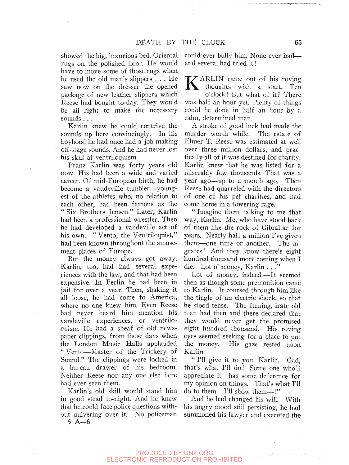showed the big, luxurious bed, Oriental rugs on the polished floor. He would have to move some of those rugs when he used the old man's slippers . . . He saw now on the dresser the opened package of new leather slippers which Reese had bought to-day. They would be all right to make the necessary sounds...

Karlin knew he could contrive the sounds up here convincingly. In his boyhood he had once had a job making ofif-stage sounds. And he had never lost his skill at ventriloquism.

Franz Karlin was forty years old now. His had been a wide and varied career. Of mid-European birth, he had become a vaudeville tumbler—youngest of the athletes who, no relation to each other, had been famous as the " Six Brothers Jensen." Later, Karlin had been a professional wrestler. Then he had developed a vaudeville act of his own. " Vento, the Ventriloquist," had been known throughout the amusement places of Europe.

But the money always got away. Karlin, too, had had several experiences with the law, and that had been expensive. In Berlin he had been in jail for over a year. Then, shaking it all loose, he had come to America, where no one knew him. Even Reese had never heard him mention his vaudeville experiences, or ventriloquism. He had a sheaf of old newspaper clippings, from those days when the London Music Halls applauded " Vento—Master of the Trickery of Sound." The clippings were locked in a bureau drawer of his bedroom. Neither Reese nor any one else here had ever seen them.

Karlin's old skill would stand him in good stead to-night. And he knew that he could face police questions without quivering over it. No policeman

5 A—6

could ever bully him. None ever had and several had tried it!

K ARLIN came out of his roving<br>thoughts with a start. Ten<br>o'clock! But what of it? There thoughts with a start. Ten o'clock! But what of it? There was half an hour yet. Plenty of things could be done in half an hour by a calm, determined man.

A stroke of good luck had made the murder worth while. The estate of Elmer T. Reese was estimated at well over three million dollars, and practically all of it was destined for charity. Karlin knew that he was listed for a miserably few thousands. That was a year ago—up to a month ago. Then Reese had quarreled with the directors of one of his pet charities, and had come home in a towering rage.

" Imagine them talking to me that way, Karlin. Me, who have stood back of them like the rock of Gibraltar for years. Nearly half a million I've given them—one time or another. The ingrates! And they know there's eight hundred thousand more coming when I die. Lot o' money, Karlin . . ."

Lot of money, indeed.—It seemed then as though some premonition came to Karlin. It coursed through him like the tingle of an electric shock, so that he stood tense. The fuming, irate old man had then and there declared that they would never get the promised eight hundred thousand. His roving eyes seemed seeking for a place to put the money. His gaze rested upon Karlin.

" I'll give it to you, Karlin. Gad, that's what I'll do! Some one who'll appreciate it—has some deference for my opinion on things. That's what I'll do to them. I'll show them—!"

And he had changed his will. With his angry mood still persisting, he had summoned his lawyer and executed the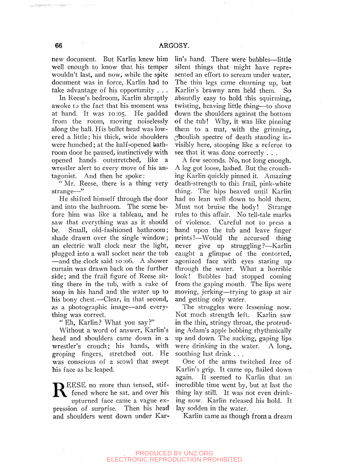new document. But Karlin knew him well enough to know that his temper wouldn't last, and now, while the spite document was in force, Karlin had to take advantage of his opportunity . . .

In Reese's bedroom, Karlin abruptlyawoke to the fact that his moment was at hand. It was 10:05. He padded from the room, moving noiselessly along the hall. His bullet head was lowered a little; his thick, wide shoulders were hunched; at the half-opened bathroom door he paused, instinctively with opened hands outstretched, like a wrestler alert to every move of his antagonist. And then he spoke:

" Mr. Reese, there is a thing very strange—"

He shifted himself through the door and into the bathroom. The scene before him was like a tableau, and he saw that everything was as it should be. Small, old-fashioned bathroom; shade drawn over the single window; an electric wall clock near the light, plugged into a wall socket near the tub —and the clock said 10 :o6. A shower curtain was drawn back on the further side; and the frail figure of Reese sitting there in the tub, with a cake of soap in his hand and the water up to his bony chest.—Clear, in that second, as a photographic image—and everything was correct.

"Eh, Karlin? What you say?"

Without a word of answer, Karlin's head and shoulders came down in a wrestler's crouch; his hands, with groping fingers, stretched out. He was conscious of a scowl that swept his face as he leaped.

R EESE no more than tensed, stiffened where he sat, and over his upturned face came a vague expression of surprise. Then his head and shoulders went down under Kar-

lin's hand. There were bubbles—little silent things that might have represented an effort to scream under water. The thin legs came churning up, but Karlin's brawny arm held them. So absurdly easy to hold this squirming, twisting, heaving little thing-—to shove down the shoulders against the bottom of the tub! Why, it was like pinning them to a mat, with the grinning,  $\alpha$  houlish spectre of death standing invisibly here, stooping like a referee to see that it was done correctly . . .

A few seconds. No, not long enough. A leg got loose, lashed. But the crouching Karlin quickly pinned it. Amazing death-strength to this frail, pink-white thing. The hips heaved until Karlin had to lean well down to hold them. Must not bruise the body! Strange rules to this affair. No tell-tale marks of violence. Careful not to press a hand upon the tub and leave finger prints!—Would the accursed thing never give up struggling?—Karlin caught a glimpse of the contorted, agonized face with eyes staring up through the water. What a horrible look! Bubbles had stopped coming from the gaping mouth. The lips were moving, jerking—trying to gasp at air and getting only water.

The struggles were lessening now. Not much strength left. Karlin saw in the thin, stringy throat, the protruding Adam's apple bobbing rhythmically up and down. The sucking, gaping lips were drinking in the water. A long, soothing last drink . . .

One of the arms twitched free of Karlin's grip. It came up, flailed down again. It seemed to Karlin that an incredible time went by, but at last the thing lay still. It was not even drinking now. Karlin released his hold. It lay sodden in the water.

Karlin came as though from a dream

#### PRODUCED BY UNZ.ORG TRONIC REPRODUCTION PROHIBITED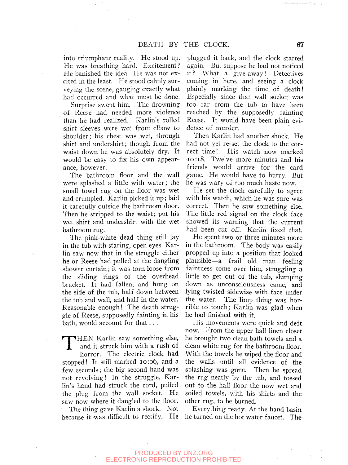into triumphant reality. He stood up. He was breathing hard. Excitement? He banished the idea. He was not excited in the least. He stood calmly surveying the scene, gauging exactly what had occurred and what must be done.

Surprise swept him. The drowning of Reese had needed more violence than he had realized. Karlin's rolled shirt sleeves were wet from elbow to shoulder; his chest was wet, through shirt and undershirt; though from the waist down he was absolutely dry. It would be easy to fix his own appearance, however.

The bathroom floor and the wall were splashed a little with water; the small towel rug on the floor was wet and crumpled. Karlin picked it up; laid it carefully outside the bathroom door. Then he stripped to the waist; put his wet shirt and undershirt with the wet bathroom rug.

The pink-white dead thing still lay in the tub with staring, open eyes. Karlin saw now that in the struggle either he or Reese had pulled at the dangling shower curtain; it was torn loose from the sliding rings of the overhead bracket. It had fallen, and hung on the side of the tub, half down between the tub and wall, and half in the water. Reasonable enough! The- death struggle of Reese, supposedly fainting in his bath, would account for that. . .

THEN Karlin saw something else,<br>and it struck him with a rush of<br>horror. The electric clock had and it struck him with a rush of horror. The electric clock had stopped! It still marked io:o6, and a few seconds; the big second hand was not revolving! In the struggle, Karlin's hand had struck the cord, pulled the plug from the wall socket. He saw now where it dangled to the floor.

The thing gave Karlin a shock. Not because it was difficult to rectify. He

plugged it back, and the clock started again. But suppose he had not noticed it? What a give-away! Detectives coming in here, and seeing a clock plainly marking the time of death! Especially since that wall socket was too far from the tub to have been reached by the supposedly fainting Reese. It would have been plain evidence of murder.

Then Karlin had another shock. He had not yet re-set the clock to the correct time! His watch now marked io:i8. Twelve more minutes and his friends would arrive for the card game. He would have to hurry. But he was wary of too much haste now.

He set the clock carefully to agree with his watch, which he was sure was correct. Then he saw something else. The little red signal on the clock face showed its warning that the current had been cut off. Karlin fixed that.

He spent two or three minutes more in the bathroom. The body was easily propped up into a position that looked plausible—a frail old man feeling faintness come over him, struggling a little to get out of the tub, slumping down as unconsciousness came, and lying twisted sidewise with face under the water. The limp thing was horrible to touch; Karlin was glad when he had finished with it.

His movements were quick and deft now. From the upper hall linen closet he brought two clean bath towels and a clean white rug for the bathroom floor. With the towels he wiped the floor and the walls until all evidence of the splashing was gone. Then he spread the rug neatly by the tub, and tossed out to the hall floor the now wet and soiled towels, with his shirts and the other rug, to be burned.

Everything ready. At the hand basin he turned on the hot water faucet. The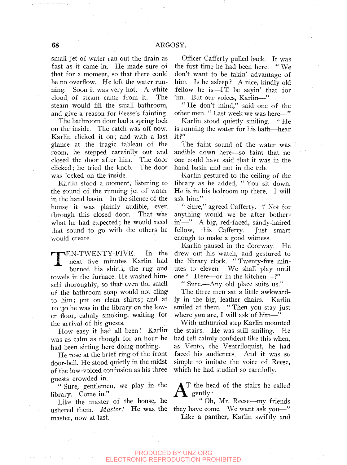small jet of water ran out the drain as fast as it came in. He made sure of that for a moment, so that there could be no overflow. He left the water running. Soon it was very hot. A white cloud, of steam came from it. The steam would fill the small bathroom, and give a reason for Reese's fainting.

The bathroom door had a spring lock on the inside. The catch was off now. Karlin clicked it on; and with a last glance at the tragic tableau of the room, he stepped carefully out and closed the door after him. The door clicked; he tried the knob. The door was locked on the inside.

Karlin stood a moment, listening to the sound of the running jet of water in the hand basin. In the silence of the house it was plainly audible, even through this closed door. That was what he had expected; he would need that sound to go with the others he would create.

T EN-TWENTY-FIVE. In the next five minutes Karlin had burned his shirts, the rug and towels in the furnace. He washed himself thoroughly, so that even the smell of the bathroom soap would not cling\* to him; put on clean shirts; and at lo :30 he was in the library on the lower floor, calmly smoking, waiting for the arrival of his guests.

How easy it had all been! Karlin was as calm as though for an hour he had been sitting here doing nothing.

He rose at the brief ring of the front door-bell. He stood quietly in the midst of the low-voiced confusion as his three guests crowded in.

" Sure, gentlemen, we play in the library. Come in."

Like the master of the house, he ushered them. *Master!* He was the master, now at last.

Officer Cafiferty pulled back. It was the first time he had been here. " We don't want to be takin' advantage of him. Is he asleep ? A nice, kindly old fellow he is—I'll be sayin' that for 'im. But our voices, Karlin—"

" He don't mind," said one of the other men. " Last week we was here—"

Karlin stood quietly smiling. " He is running the water for his bath—hear  $it$ ?"

The faint sound of the water was audible down here—so faint that no one could have said that it was in the hand basin and not in the tub.

Karlin gestured to the ceiling of the library as he added, " You sit down. He is in his bedroom up there. I will ask him."

*''* Sure," agreed Cafferty. " Not for anything would we be after botherin'—" A big, red-faced, sandy-haired fellow, this Cafferty. Just smart enough to make a good witness.

Karlin paused in the doorway. He drew out his watch, and gestured to the library clock. " Twenty-five minutes to eleven. We shall play until one? Here—or in the kitchen—?"

" Sure.—Any old place suits us."

The three men sat a little awkwardly in the big, leather chairs. Karlin smiled at them. " Then you stay just where you are, I will ask of him—"

With unhurried step Karlin mounted the stairs. He was still smiling. He had felt calmly confident like this when, as Vento, the Ventriloquist, he had faced his audiences. And it was so simple to imitate the voice of Reese, which he had studied so carefully.

 $A^{\text{T the hex}}$ T the head of the stairs he called

" Oh, Mr. Reese—my friends they have come. We want ask you—" Like a panther, Karlin swiftly and

PRODUCED BY UNZ.ORG TRONIC REPRODUCTION PROHIBITED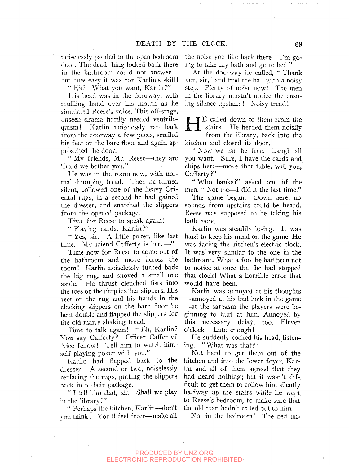noiselessly padded to the open bedroom door. The dead thing locked back there in the bathroom could not answer but how easy it was for Karlin's skill!

" Eh? What you want, Karlin?"

His head was in the doorway, with muffling hand over his mouth as he simulated Reese's voice. This off-stage, unseen drama hardly needed ventriloquism! Karlin noiselessly ran back from the doorway a few paces, scuffled his feet on the bare floor and again approached the door.

" My friends, Mr. Reese—they are 'fraid we bother you."

He was in the room now, with normal thumping tread. Then he turned silent, followed one of the heavy Oriental rugs, in a second he had gained the dresser, and snatched the slippers from the opened package.

Time for Reese to speak again!

"Playing cards, Karlin?"

" Yes, sir. A little poker, like last time. My friend Cafferty is here—"

Time now for Reese to come out of the bathroom and move across the room! Karlin noiselessly turned back the big rug, and shoved a small one aside. He thrust clenched fists into the toes of the limp leather slippers. His feet on the rug and his hands in the clacking slippers on the bare floor he bent double and flapped the slippers for the old man's shaking tread.

Time to talk again! "Eh, Karlin? You say Cafferty? Officer Cafferty? Nice fellow! Tell him to watch himself playing poker with you."

Karlin had flapped back to the dresser. A second or two, noiselessly replacing the rugs, putting the slippers back into their package.

" I tell him that, sir. Shall we play in the library?"

" Perhaps the kitchen, Karlin—don't vou think ? You'll feel freer—make all the noise you like back there. I'm.going to take my bath and go to bed."

At the doorway he called, " Thank you, sir," and trod the hall with a noisy step. Plenty of noise now! The men in the library mustn't notice the ensuing silence upstairs! Noisy tread!

**HE** called down to them from the<br>stairs. He herded them noisily<br>from the library back into the stairs. He herded them noisily from the library, back into the kitchen and closed its door.

"Now we can be free. Laugh all you want. Sure, I have the cards and chips here—move that table, will you, Cafferty?"

" Who banks ?" asked one of the men. " Not me—I did it the last time."

The game began. Down here, no sounds from upstairs could be heard. Reese was supposed to be taking his bath now.

Karlin was steadily losing. It was hard to keep his mind on the game. He was facing the kitchen's electric clock. It was very similar to the one in the bathroom. What a fool he had been not to notice at once that he had stopped that clock! What a horrible error that would have been.

Karlin was annoyed at his thoughts —annoyed at his bad luck in the game —at the sarcasm the players were beginning to hurl at him. Annoyed by this necessary delay, too. Eleven o'clock. Late enough!

He suddenly cocked his head, listening. "What was that?"

Not hard to get them out of the kitchen and into the lower foyer. Karlin and all of them agreed that they had heard nothing; but it wasn't difficult to get them to follow him silently halfway up the stairs while he went to Reese's bedroom, to make sure that the old man hadn't called out to him.

Not in the bedroom! The bed un-

#### PRODUCED BY UNZ.ORG **ECTRONIC REPRODUCTION PROHIBITED**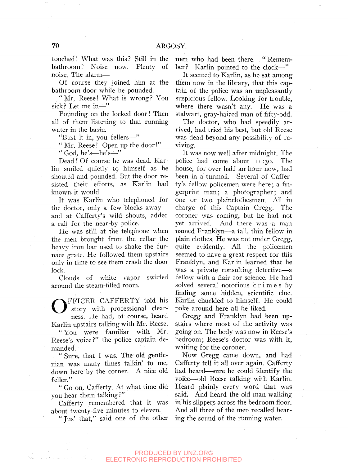touched! What was this? Still in the bathroom? Noise now. Plenty of noise. The alarm—

Of course they joined him at the bathroom door while he pounded.

"Mr. Reese! What is wrong? You sick? Let me in—"

Pounding on the locked door! Then all of them listening to that running water in the basin.

"Bust it in, you fellers—"

" Mr. Reese! Open up the door!"

" God, he's—he's—"

Dead! Of course he was dead. Karlin smiled quietly to himself as he shouted and pounded. But the door resisted their efforts, as Karlin had known, it would.

It was Karlin who telephoned for the doctor, only a few blocks away and at Cafferty's wild shouts, added a call for the near-by police.

He was still at the telephone when the men brought from the cellar the heavy iron bar used to shake the furnace grate. He followed them upstairs only in time to see them crash the door lock.

Clouds of white vapor swirled around the steam-filled room.

O FFICER CAFFERTY told his story with professional clearness. He had, of course, heard Karlin upstairs talking with Mr. Reese.

" You were familiar with Mr. Reese's voice?" the police captain demanded.

" Sure, that I was. The old gentleman was many times talkin' to me, down here by the corner. A nice old feller."

" Go on, Cafferty. At what time did you hear them talking?"

Cafferty remembered that it was about twenty-five minutes to eleven.

"Jus' that," said one of the other

men who had been there. " Remember? Karlin pointed to the clock—"

It seemed to Karlin, as he sat among them now in the library, that this captain of the police was an unpleasantly suspicious fellow. Looking for trouble, where there wasn't any. He was a stalwart, gray-haired man of fifty-odd.

The doctor, who had speedily arrived, had tried his best, but old Reese was dead beyond any possibility of reviving.

It was now well after midnight. The police had come about 11:30. The house, for over half an hour now, had been in a turmoil. Several of Cafferty's fellow policemen were here; a fingerprint man; a photographer; and one or two plainclothesmen. All in charge of this Captain Gregg. The coroner was coming, but he had not yet arrived. And there was a man named Franklyn—a tall, thin fellow in plain clothes. He was not under Gregg, quite evidently. All the policemen seemed to have a great respect for this Franklyn, and Karlin learned that he was a private consulting detective—a fellow with a flair for science. He had solved several notorious crime s by finding some hidden, scientific clue. Karlin chuckled to himself. He could poke around here all he liked.

Gregg and Franklyn had been upstairs where most of the activity was going on. The body was now in Reese's bedroom; Reese's doctor was with it, waiting for the coroner.

Now Gregg came down, and had Cafferty tell it all over again. Cafferty had heard—sure he could identify the voice—old Reese talking with Karlin. Heard plainly every word that was said. And heard the old man walking in his slippers across the bedroom floor. And all three of the men recalled hearing the sound of the running water.

#### PRODUCED BY UNZ.ORG CTRONIC REPRODUCTION PROHIBITED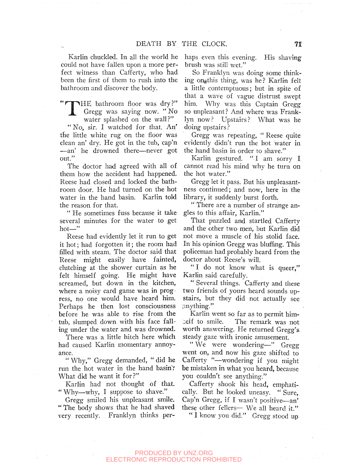Karlin chuckled. In all the world he could not have fallen upon a more perfect witness than Cafferty, who had been the first of them to rush into the bathroom and discover the body.

THE bathroom floor was dry?" 1 Gregg was saying now. " No water splashed on the wall?" " No, sir. I watched for that. An' the little white rug on the floor was clean an' dry. He got in the tub, cap'n —an' he drowned there—never got out."

The doctor had agreed with all of them how the accident had happened. Reese had closed and locked the bathroom door. He had turned on the hot water in the hand basin. Karlin told the reason for that.

" He sometimes fuss because it take several minutes for the water to get hot—"

Reese had evidently let it run to get it hot; had forgotten it; the room had filled with steam. The doctor said that Reese might easily have fainted, clutching at the shower curtain as he felt himself going. He might have screamed, but down in the kitchen, where a noisy card game was in progress, no one would have heard him. Perhaps he then lost consciousness before he was able to rise from the tub, slumped down with his face falling under the water and was drowned.

There was a little hitch here which had caused Karlin momentary annoyance.

" Why," Gregg demanded, " did he run the hot water in the hand basin? What did he want it for?"

Karlin had not thought of that. " Why—why, I suppose to shave."

Gregg smiled his unpleasant smile. " The body shows that he had shaved very recently. Franklyn thinks perhaps even this evening. His shaving brush was still wet."

So Franklyn was doing some thinking ongthis thing, was he? Karlin felt a little contemptuous; but in spite of that a wave of vague distrust swept him. Why was this Captain Gregg so unpleasant? And where was Franklyn now? Upstairs? What was he doing upstairs ?

Gregg was repeating, " Reese quite evidently didn't run the hot water in the hand basin in order to shave."

Karlin gestured. " I am sorry I cannot read his mind why he turn on the hot water."

Gregg let it pass. But his unpleasantness continued; and now, here in the library, it suddenly burst forth.

" There are a number of strange angles to this affair, Karlin."

That puzzled and startled Cafferty and the other two men, but Karlin did not move a muscle of his stolid face. In his opinion Gregg was bluffing. This policeman had probably heard from the doctor about Reese's will.

"I do not know what is queer." Karlin said carefully.

" Several things. Cafferty and these two friends of yours heard sounds upstairs, but they did not actually see anything."

Karlin went so far as to permit him- *:xU* to smile. The remark was not worth answering. He returned Gregg's steady gaze with ironic amusement.

" We were wondering—" Gregg went on, and now his gaze shifted to Cafferty "—wondering if you might be mistaken in what you heard, because you couldn't see anything."

Cafferty shook his head, emphatically. But he looked uneasy. " Sure, Cap'n Gregg, if I wasn't positive—an' these other fellers— We all heard it."

" I know you did." Gregg stood up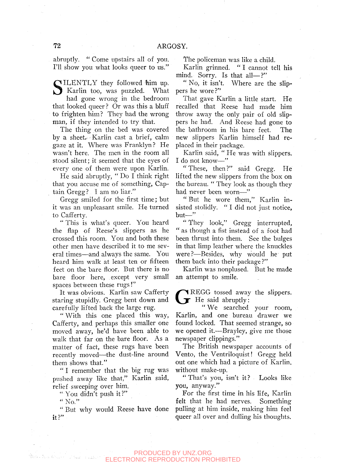abruptly. " Come upstairs all of you. I'll show you what looks queer to us."

SILENTLY they followed him up.<br>
Karlin too, was puzzled. What<br>
had gone wrong in the bedroom Karlin too, was puzzled. What

had gone wrong in the bedroom that looked queer ? Or was this a bluff to frighten him? They had the wrong man, if they intended to try that.

The thing on the bed was covered by a sheet. Karlin cast a brief, calm gaze at it. Where was Franklyn? He wasn't here. The men in the room all stood silent; it seemed that the eyes of every one of them were upon Karlin.

He said abruptly, " Do I think right that you accuse me of something, Captain Gregg? I am no liar."

Gregg smiled for the first time; but it was an unpleasant smile. He turned to Cafferty.

" This is what's queer. You heard the flap of Reese's slippers as he crossed this room. You and both these other men have described it to me several times—and always the same. You heard him walk at least ten or fifteen feet on the bare floor. But there is no bare floor here, except very small spaces between these rugs!"

It was obvious. Karlin saw Cafferty staring stupidly. Gregg bent down and carefully lifted back the large rug.

" With this one placed this way, Cafferty, and perhaps this smaller one moved away, he'd have been able to walk that far on the bare floor. As a matter of fact, these rugs have been recently moved—the dust-line around them shows that."

" I remember that the big rug was pushed away like that," Karlin said, relief sweeping over him.

". You didn't push it?"

 $"$  No."

" But why would Reese have done  $it$  ?"

The policeman was like a child.

Karlin grinned. " I cannot tell his mind. Sorry. Is that all—?"

"No, it isn't. Where are the slippers he wore?"

That gave Karlin a little start. He recalled that Reese had made him throw away the only pair of old slippers he had. And Reese had gone to the bathroom in his bare feet. The new slippers Karlin himself had replaced in their package.

Karlin said, " He was with slippers. I do not know—"

"These, then?" said Gregg. He lifted the new slippers from the box on the bureau. " They look as though they had never been worn—"

" But he wore them," Karlin insisted stolidly. "I did not just notice, but—"

" They look," Gregg interrupted, " as though a fist instead of a foot had been thrust into them. See the bulges in that limp leather where the knuckles were?—Besides, why would he' put them back into their package ?"

Karlin was nonplused. But he made an attempt to smile.

G REGG tossed away the slippers. He said abruptly:

" We searched your room, Karlin, and one bureau drawer we found locked. That seemed strange, so we opened it.—Brayley, give me those newspaper clippings."

The British newspaper accounts of Vento, the Ventriloquist! Gregg held out one which had a picture of Karlin, without make-up.

"That's you, isn't it? Looks like you, anyway."

For the first time in his life, Karlin felt that he had nerves. Something pulling at him inside, making him feel queer all over and dulling his thoughts.

#### PRODUCED BY UNZ.ORG TRONIC REPRODUCTION PROHIBITED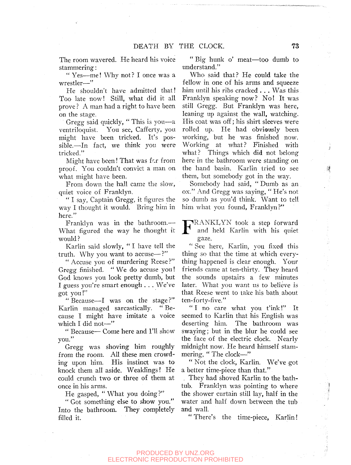The room wavered. He heard his voice stammering:

" Yes—me! Why not? I once was a wrestler—"

He shouldn't have admitted that! Too late now! Still, what did it all prove ? A man had a right to have been on the stage.

Gregg said quickly, " This is you—a ventriloquist. You see, Cafferty, you might have been tricked. It's possible.—In fact, we think you were tricked."

Might have been! That was far from proof. You couldn't convict a man on what might have been.

From down the hall came the slow, quiet voice of Franklyn.

" I say, Captain Gregg, it figures the way I thought it would. Bring him in here."

Franklyn was in the bathroom.— What figured the way he thought it would ?

Karlin said slowly, " I have tell the truth. Why you want to accuse—?"

" Accuse you of murdering Reese ?" Gregg finished. " We do accuse you! God knows you look pretty dumb, but I guess you're smart enough . . . We've got you!"

" Because—I was on the stage?" Karlin managed sarcastically. " Because I might have imitate a voice which I did not-"

" Because— Come here and I'll show you."

Gregg was shoving him roughly from the room. All these men crowding upon him. His instinct was to knock them all aside. Weaklings! He could crunch two or three of them at once in his arms.

He gasped, "What you doing?"

" Got something else to show you." Into the bathroom. They completely filled it.

" Big hunk o' meat—too dumb to understand."

Who said that? He could take the fellow in one of his arms and squeeze him until his ribs cracked  $\ldots$  Was this Franklyn speaking now? No! It was still Gregg. But Franklyn was here, leaning up against the wall, watching. His coat was off; his shirt sleeves were rolled up. He had obviously been working, but he was finished now. Working at what? Finished with what? Things which did not belong here in the bathroom were standing on the hand basin. Karlin tried to see them, but somebody got in the way.

Somebody had said, " Dumb as an ox." And Gregg was saying, " He's not so dumb as you'd think. Want to tell him what you found, Franklyn?"

FRANKLYN took a step forward<br>and held Karlin with his quiet and held Karlin with his quiet gaze.

" See here, Karlin, you fixed this thing so that the time at which everything happened is clear enough. Your friends came at ten-thirty. They heard the sounds upstairs a few minutes later. What you want us to believe is that Reese went to take his bath about ten-forty-five."

" I no care what you t'ink!" It seemed to Karlin that his English was deserting him. The bathroom was swaying; but in the blur he could see the face of the electric clock. Nearly midnight now. He heard himself stammering, " The clock—"

" Not the clock, Karlin. We've got a better time-piece than that."

, They had shoved Karlin to the bathtub. Franklyn was pointing to where the shower curtain still lay, half in the water and half down between the tub and wall.

" There's the time-piece, Karlin!